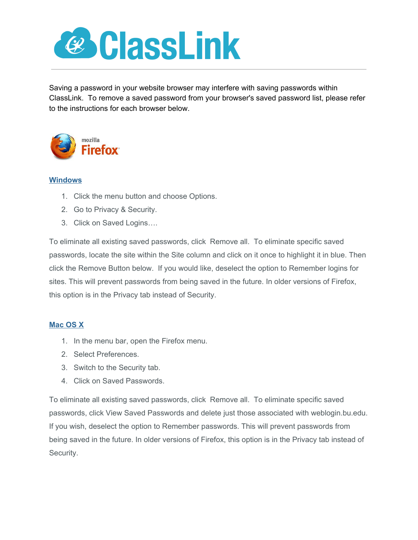

Saving a password in your website browser may interfere with saving passwords within ClassLink. To remove a saved password from your browser's saved password list, please refer to the instructions for each browser below.



## **Windows**

- 1. Click the menu button and choose Options.
- 2. Go to Privacy & Security.
- 3. Click on Saved Logins….

To eliminate all existing saved passwords, click Remove all. To eliminate specific saved passwords, locate the site within the Site column and click on it once to highlight it in blue. Then click the Remove Button below. If you would like, deselect the option to Remember logins for sites. This will prevent passwords from being saved in the future. In older versions of Firefox, this option is in the Privacy tab instead of Security.

## **Mac OS X**

- 1. In the menu bar, open the Firefox menu.
- 2. Select Preferences.
- 3. Switch to the Security tab.
- 4. Click on Saved Passwords.

To eliminate all existing saved passwords, click Remove all. To eliminate specific saved passwords, click View Saved Passwords and delete just those associated with weblogin.bu.edu. If you wish, deselect the option to Remember passwords. This will prevent passwords from being saved in the future. In older versions of Firefox, this option is in the Privacy tab instead of Security.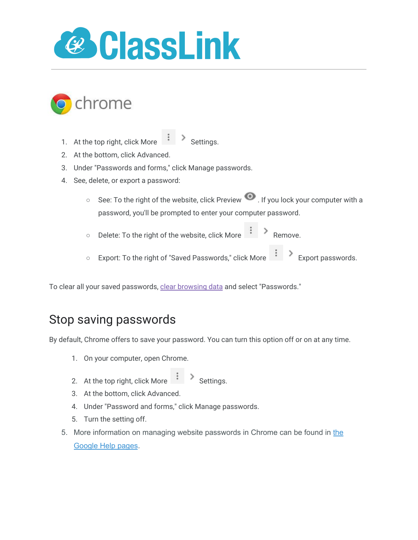



- 1. At the top right, click More  $\begin{array}{c} \begin{array}{c} \begin{array}{c} \end{array} \end{array}$  Settings.
- 2. At the bottom, click Advanced.
- 3. Under "Passwords and forms," click Manage passwords.
- 4. See, delete, or export a password:
	- See: To the right of the website, click Preview . If you lock your computer with a password, you'll be prompted to enter your computer password.
	- Delete: To the right of the website, click More Remove.
	- Export: To the right of "Saved Passwords," click More  $\begin{array}{c} \hbox{1mm} \end{array}$  Export passwords.

To clear all your saved passwords, [clear browsing data](https://support.google.com/chrome/answer/2392709) and select "Passwords."

## Stop saving passwords

By default, Chrome offers to save your password. You can turn this option off or on at any time.

- 1. On your computer, open Chrome.
- 2. At the top right, click More  $\begin{array}{c} \begin{array}{c} \bullet \\ \bullet \end{array}$  Settings.
- 3. At the bottom, click Advanced.
- 4. Under "Password and forms," click Manage passwords.
- 5. Turn the setting off.
- 5. More information on managing website passwords in Chrome can be found in [the](https://support.google.com/chrome/answer/95606?hl=en) [Google](https://support.google.com/chrome/answer/95606?hl=en) Help pages.